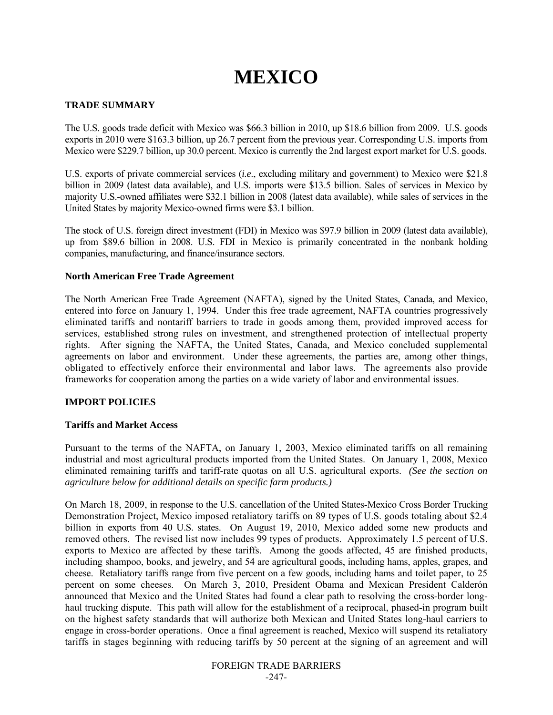# **MEXICO**

## **TRADE SUMMARY**

The U.S. goods trade deficit with Mexico was \$66.3 billion in 2010, up \$18.6 billion from 2009. U.S. goods exports in 2010 were \$163.3 billion, up 26.7 percent from the previous year. Corresponding U.S. imports from Mexico were \$229.7 billion, up 30.0 percent. Mexico is currently the 2nd largest export market for U.S. goods.

U.S. exports of private commercial services (*i.e*., excluding military and government) to Mexico were \$21.8 billion in 2009 (latest data available), and U.S. imports were \$13.5 billion. Sales of services in Mexico by majority U.S.-owned affiliates were \$32.1 billion in 2008 (latest data available), while sales of services in the United States by majority Mexico-owned firms were \$3.1 billion.

The stock of U.S. foreign direct investment (FDI) in Mexico was \$97.9 billion in 2009 (latest data available), up from \$89.6 billion in 2008. U.S. FDI in Mexico is primarily concentrated in the nonbank holding companies, manufacturing, and finance/insurance sectors.

## **North American Free Trade Agreement**

The North American Free Trade Agreement (NAFTA), signed by the United States, Canada, and Mexico, entered into force on January 1, 1994. Under this free trade agreement, NAFTA countries progressively eliminated tariffs and nontariff barriers to trade in goods among them, provided improved access for services, established strong rules on investment, and strengthened protection of intellectual property rights. After signing the NAFTA, the United States, Canada, and Mexico concluded supplemental agreements on labor and environment. Under these agreements, the parties are, among other things, obligated to effectively enforce their environmental and labor laws. The agreements also provide frameworks for cooperation among the parties on a wide variety of labor and environmental issues.

## **IMPORT POLICIES**

## **Tariffs and Market Access**

Pursuant to the terms of the NAFTA, on January 1, 2003, Mexico eliminated tariffs on all remaining industrial and most agricultural products imported from the United States. On January 1, 2008, Mexico eliminated remaining tariffs and tariff-rate quotas on all U.S. agricultural exports. *(See the section on agriculture below for additional details on specific farm products.)*

On March 18, 2009, in response to the U.S. cancellation of the United States-Mexico Cross Border Trucking Demonstration Project, Mexico imposed retaliatory tariffs on 89 types of U.S. goods totaling about \$2.4 billion in exports from 40 U.S. states. On August 19, 2010, Mexico added some new products and removed others. The revised list now includes 99 types of products. Approximately 1.5 percent of U.S. exports to Mexico are affected by these tariffs. Among the goods affected, 45 are finished products, including shampoo, books, and jewelry, and 54 are agricultural goods, including hams, apples, grapes, and cheese. Retaliatory tariffs range from five percent on a few goods, including hams and toilet paper, to 25 percent on some cheeses. On March 3, 2010, President Obama and Mexican President Calderón announced that Mexico and the United States had found a clear path to resolving the cross-border longhaul trucking dispute. This path will allow for the establishment of a reciprocal, phased-in program built on the highest safety standards that will authorize both Mexican and United States long-haul carriers to engage in cross-border operations. Once a final agreement is reached, Mexico will suspend its retaliatory tariffs in stages beginning with reducing tariffs by 50 percent at the signing of an agreement and will

> FOREIGN TRADE BARRIERS -247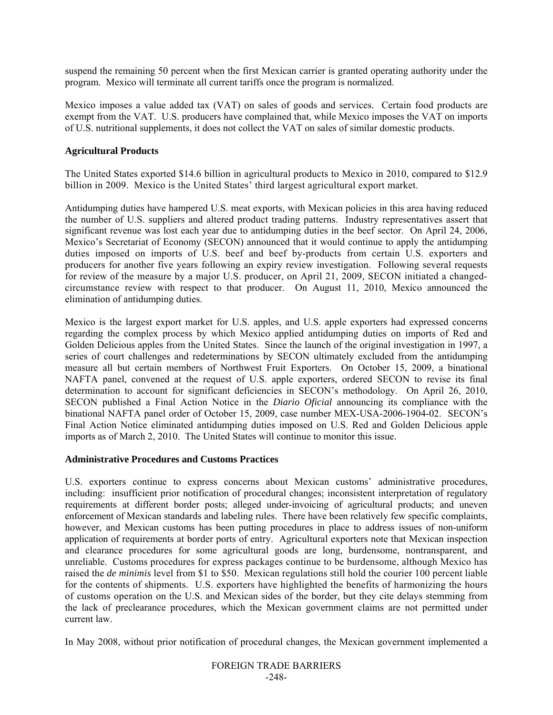suspend the remaining 50 percent when the first Mexican carrier is granted operating authority under the program. Mexico will terminate all current tariffs once the program is normalized.

Mexico imposes a value added tax (VAT) on sales of goods and services. Certain food products are exempt from the VAT. U.S. producers have complained that, while Mexico imposes the VAT on imports of U.S. nutritional supplements, it does not collect the VAT on sales of similar domestic products.

## **Agricultural Products**

The United States exported \$14.6 billion in agricultural products to Mexico in 2010, compared to \$12.9 billion in 2009. Mexico is the United States' third largest agricultural export market.

Antidumping duties have hampered U.S. meat exports, with Mexican policies in this area having reduced the number of U.S. suppliers and altered product trading patterns. Industry representatives assert that significant revenue was lost each year due to antidumping duties in the beef sector. On April 24, 2006, Mexico's Secretariat of Economy (SECON) announced that it would continue to apply the antidumping duties imposed on imports of U.S. beef and beef by-products from certain U.S. exporters and producers for another five years following an expiry review investigation. Following several requests for review of the measure by a major U.S. producer, on April 21, 2009, SECON initiated a changedcircumstance review with respect to that producer. On August 11, 2010, Mexico announced the elimination of antidumping duties.

Mexico is the largest export market for U.S. apples, and U.S. apple exporters had expressed concerns regarding the complex process by which Mexico applied antidumping duties on imports of Red and Golden Delicious apples from the United States. Since the launch of the original investigation in 1997, a series of court challenges and redeterminations by SECON ultimately excluded from the antidumping measure all but certain members of Northwest Fruit Exporters. On October 15, 2009, a binational NAFTA panel, convened at the request of U.S. apple exporters, ordered SECON to revise its final determination to account for significant deficiencies in SECON's methodology. On April 26, 2010, SECON published a Final Action Notice in the *Diario Oficial* announcing its compliance with the binational NAFTA panel order of October 15, 2009, case number MEX-USA-2006-1904-02. SECON's Final Action Notice eliminated antidumping duties imposed on U.S. Red and Golden Delicious apple imports as of March 2, 2010. The United States will continue to monitor this issue.

## **Administrative Procedures and Customs Practices**

U.S. exporters continue to express concerns about Mexican customs' administrative procedures, including: insufficient prior notification of procedural changes; inconsistent interpretation of regulatory requirements at different border posts; alleged under-invoicing of agricultural products; and uneven enforcement of Mexican standards and labeling rules. There have been relatively few specific complaints, however, and Mexican customs has been putting procedures in place to address issues of non-uniform application of requirements at border ports of entry. Agricultural exporters note that Mexican inspection and clearance procedures for some agricultural goods are long, burdensome, nontransparent, and unreliable. Customs procedures for express packages continue to be burdensome, although Mexico has raised the *de minimis* level from \$1 to \$50. Mexican regulations still hold the courier 100 percent liable for the contents of shipments. U.S. exporters have highlighted the benefits of harmonizing the hours of customs operation on the U.S. and Mexican sides of the border, but they cite delays stemming from the lack of preclearance procedures, which the Mexican government claims are not permitted under current law.

In May 2008, without prior notification of procedural changes, the Mexican government implemented a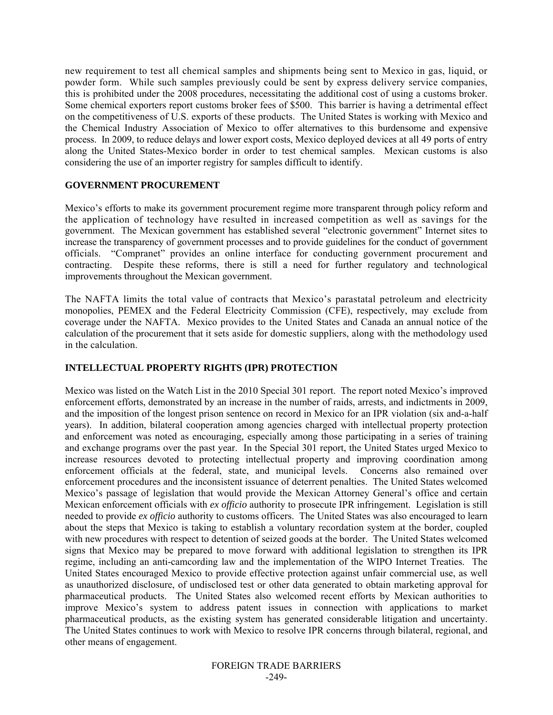new requirement to test all chemical samples and shipments being sent to Mexico in gas, liquid, or powder form. While such samples previously could be sent by express delivery service companies, this is prohibited under the 2008 procedures, necessitating the additional cost of using a customs broker. Some chemical exporters report customs broker fees of \$500. This barrier is having a detrimental effect on the competitiveness of U.S. exports of these products. The United States is working with Mexico and the Chemical Industry Association of Mexico to offer alternatives to this burdensome and expensive process. In 2009, to reduce delays and lower export costs, Mexico deployed devices at all 49 ports of entry along the United States-Mexico border in order to test chemical samples. Mexican customs is also considering the use of an importer registry for samples difficult to identify.

#### **GOVERNMENT PROCUREMENT**

Mexico's efforts to make its government procurement regime more transparent through policy reform and the application of technology have resulted in increased competition as well as savings for the government. The Mexican government has established several "electronic government" Internet sites to increase the transparency of government processes and to provide guidelines for the conduct of government officials. "Compranet" provides an online interface for conducting government procurement and contracting. Despite these reforms, there is still a need for further regulatory and technological improvements throughout the Mexican government.

The NAFTA limits the total value of contracts that Mexico's parastatal petroleum and electricity monopolies, PEMEX and the Federal Electricity Commission (CFE), respectively, may exclude from coverage under the NAFTA. Mexico provides to the United States and Canada an annual notice of the calculation of the procurement that it sets aside for domestic suppliers, along with the methodology used in the calculation.

# **INTELLECTUAL PROPERTY RIGHTS (IPR) PROTECTION**

Mexico was listed on the Watch List in the 2010 Special 301 report. The report noted Mexico's improved enforcement efforts, demonstrated by an increase in the number of raids, arrests, and indictments in 2009, and the imposition of the longest prison sentence on record in Mexico for an IPR violation (six and-a-half years). In addition, bilateral cooperation among agencies charged with intellectual property protection and enforcement was noted as encouraging, especially among those participating in a series of training and exchange programs over the past year. In the Special 301 report, the United States urged Mexico to increase resources devoted to protecting intellectual property and improving coordination among enforcement officials at the federal, state, and municipal levels. Concerns also remained over enforcement procedures and the inconsistent issuance of deterrent penalties. The United States welcomed Mexico's passage of legislation that would provide the Mexican Attorney General's office and certain Mexican enforcement officials with *ex officio* authority to prosecute IPR infringement. Legislation is still needed to provide *ex officio* authority to customs officers. The United States was also encouraged to learn about the steps that Mexico is taking to establish a voluntary recordation system at the border, coupled with new procedures with respect to detention of seized goods at the border. The United States welcomed signs that Mexico may be prepared to move forward with additional legislation to strengthen its IPR regime, including an anti-camcording law and the implementation of the WIPO Internet Treaties. The United States encouraged Mexico to provide effective protection against unfair commercial use, as well as unauthorized disclosure, of undisclosed test or other data generated to obtain marketing approval for pharmaceutical products. The United States also welcomed recent efforts by Mexican authorities to improve Mexico's system to address patent issues in connection with applications to market pharmaceutical products, as the existing system has generated considerable litigation and uncertainty. The United States continues to work with Mexico to resolve IPR concerns through bilateral, regional, and other means of engagement.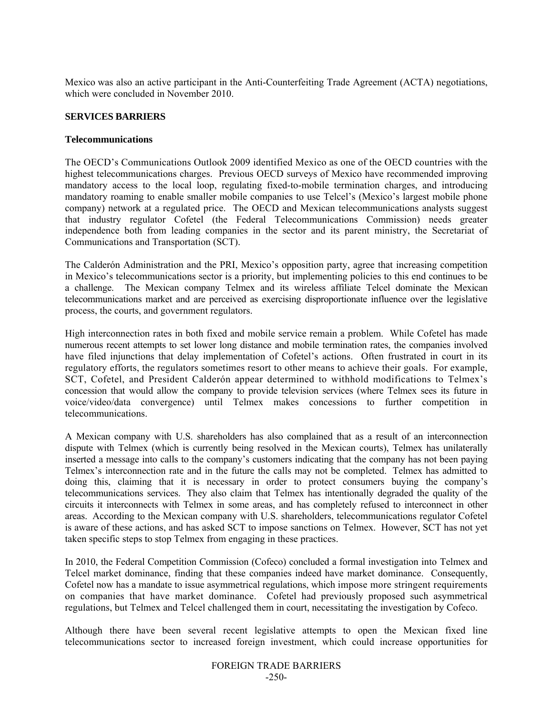Mexico was also an active participant in the Anti-Counterfeiting Trade Agreement (ACTA) negotiations, which were concluded in November 2010.

#### **SERVICES BARRIERS**

#### **Telecommunications**

The OECD's Communications Outlook 2009 identified Mexico as one of the OECD countries with the highest telecommunications charges. Previous OECD surveys of Mexico have recommended improving mandatory access to the local loop, regulating fixed-to-mobile termination charges, and introducing mandatory roaming to enable smaller mobile companies to use Telcel's (Mexico's largest mobile phone company) network at a regulated price. The OECD and Mexican telecommunications analysts suggest that industry regulator Cofetel (the Federal Telecommunications Commission) needs greater independence both from leading companies in the sector and its parent ministry, the Secretariat of Communications and Transportation (SCT).

The Calderón Administration and the PRI, Mexico's opposition party, agree that increasing competition in Mexico's telecommunications sector is a priority, but implementing policies to this end continues to be a challenge. The Mexican company Telmex and its wireless affiliate Telcel dominate the Mexican telecommunications market and are perceived as exercising disproportionate influence over the legislative process, the courts, and government regulators.

High interconnection rates in both fixed and mobile service remain a problem. While Cofetel has made numerous recent attempts to set lower long distance and mobile termination rates, the companies involved have filed injunctions that delay implementation of Cofetel's actions. Often frustrated in court in its regulatory efforts, the regulators sometimes resort to other means to achieve their goals. For example, SCT, Cofetel, and President Calderón appear determined to withhold modifications to Telmex's concession that would allow the company to provide television services (where Telmex sees its future in voice/video/data convergence) until Telmex makes concessions to further competition in telecommunications.

A Mexican company with U.S. shareholders has also complained that as a result of an interconnection dispute with Telmex (which is currently being resolved in the Mexican courts), Telmex has unilaterally inserted a message into calls to the company's customers indicating that the company has not been paying Telmex's interconnection rate and in the future the calls may not be completed. Telmex has admitted to doing this, claiming that it is necessary in order to protect consumers buying the company's telecommunications services. They also claim that Telmex has intentionally degraded the quality of the circuits it interconnects with Telmex in some areas, and has completely refused to interconnect in other areas. According to the Mexican company with U.S. shareholders, telecommunications regulator Cofetel is aware of these actions, and has asked SCT to impose sanctions on Telmex. However, SCT has not yet taken specific steps to stop Telmex from engaging in these practices.

In 2010, the Federal Competition Commission (Cofeco) concluded a formal investigation into Telmex and Telcel market dominance, finding that these companies indeed have market dominance. Consequently, Cofetel now has a mandate to issue asymmetrical regulations, which impose more stringent requirements on companies that have market dominance. Cofetel had previously proposed such asymmetrical regulations, but Telmex and Telcel challenged them in court, necessitating the investigation by Cofeco.

Although there have been several recent legislative attempts to open the Mexican fixed line telecommunications sector to increased foreign investment, which could increase opportunities for